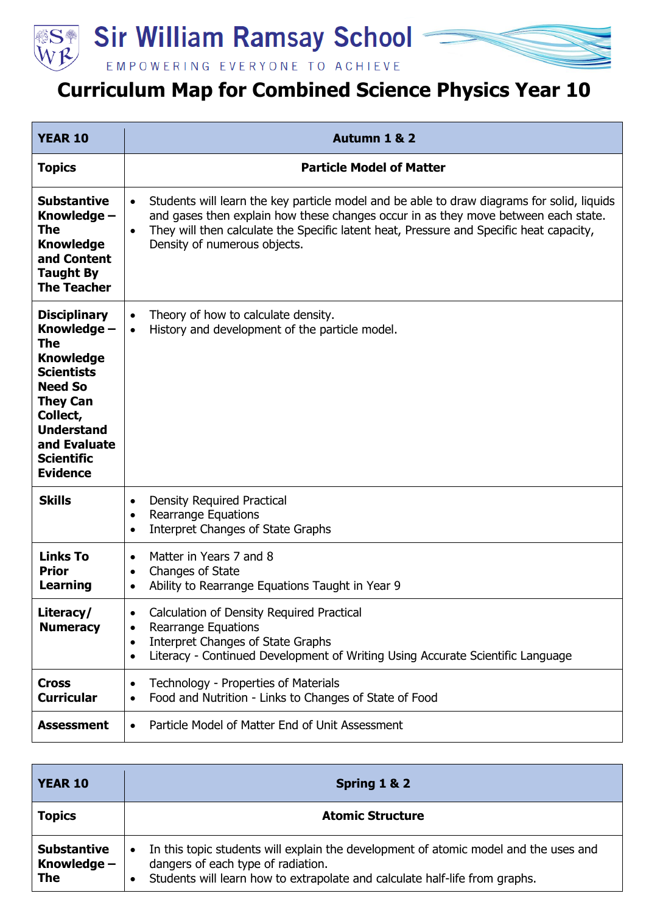

## **SEP Sir William Ramsay School**



EMPOWERING EVERYONE TO ACHIEVE

## **Curriculum Map for Combined Science Physics Year 10**

| <b>YEAR 10</b>                                                                                                                                                                                                          | Autumn 1 & 2                                                                                                                                                                                                                                                                                                                          |
|-------------------------------------------------------------------------------------------------------------------------------------------------------------------------------------------------------------------------|---------------------------------------------------------------------------------------------------------------------------------------------------------------------------------------------------------------------------------------------------------------------------------------------------------------------------------------|
| <b>Topics</b>                                                                                                                                                                                                           | <b>Particle Model of Matter</b>                                                                                                                                                                                                                                                                                                       |
| <b>Substantive</b><br>Knowledge –<br>The<br><b>Knowledge</b><br>and Content<br><b>Taught By</b><br><b>The Teacher</b>                                                                                                   | Students will learn the key particle model and be able to draw diagrams for solid, liquids<br>$\bullet$<br>and gases then explain how these changes occur in as they move between each state.<br>They will then calculate the Specific latent heat, Pressure and Specific heat capacity,<br>$\bullet$<br>Density of numerous objects. |
| <b>Disciplinary</b><br>Knowledge -<br><b>The</b><br><b>Knowledge</b><br><b>Scientists</b><br><b>Need So</b><br><b>They Can</b><br>Collect,<br><b>Understand</b><br>and Evaluate<br><b>Scientific</b><br><b>Evidence</b> | Theory of how to calculate density.<br>$\bullet$<br>History and development of the particle model.<br>$\bullet$                                                                                                                                                                                                                       |
| <b>Skills</b>                                                                                                                                                                                                           | <b>Density Required Practical</b><br>$\bullet$<br><b>Rearrange Equations</b><br>$\bullet$<br><b>Interpret Changes of State Graphs</b><br>$\bullet$                                                                                                                                                                                    |
| <b>Links To</b><br><b>Prior</b><br><b>Learning</b>                                                                                                                                                                      | Matter in Years 7 and 8<br>$\bullet$<br>Changes of State<br>$\bullet$<br>Ability to Rearrange Equations Taught in Year 9                                                                                                                                                                                                              |
| Literacy/<br><b>Numeracy</b>                                                                                                                                                                                            | Calculation of Density Required Practical<br>$\bullet$<br><b>Rearrange Equations</b><br>$\bullet$<br><b>Interpret Changes of State Graphs</b><br>$\bullet$<br>Literacy - Continued Development of Writing Using Accurate Scientific Language<br>$\bullet$                                                                             |
| <b>Cross</b><br><b>Curricular</b>                                                                                                                                                                                       | Technology - Properties of Materials<br>$\bullet$<br>Food and Nutrition - Links to Changes of State of Food<br>$\bullet$                                                                                                                                                                                                              |
| <b>Assessment</b>                                                                                                                                                                                                       | Particle Model of Matter End of Unit Assessment<br>$\bullet$                                                                                                                                                                                                                                                                          |

| <b>YEAR 10</b>                                    | Spring 1 & 2                                                                                                                                                                                                           |
|---------------------------------------------------|------------------------------------------------------------------------------------------------------------------------------------------------------------------------------------------------------------------------|
| <b>Topics</b>                                     | <b>Atomic Structure</b>                                                                                                                                                                                                |
| <b>Substantive</b><br>Knowledge $-$<br><b>The</b> | In this topic students will explain the development of atomic model and the uses and<br>$\bullet$<br>dangers of each type of radiation.<br>Students will learn how to extrapolate and calculate half-life from graphs. |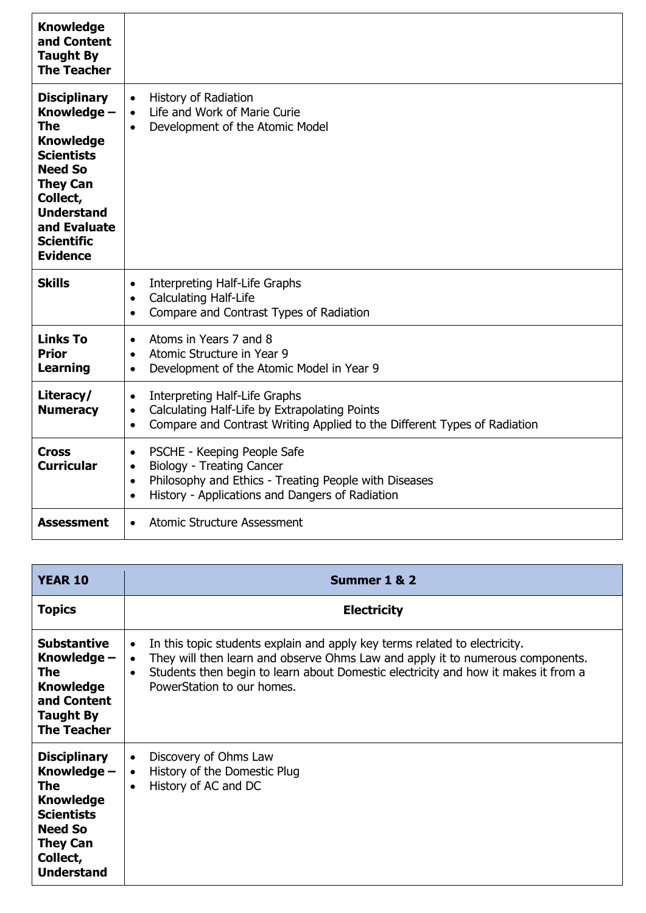| <b>Knowledge</b><br>and Content<br><b>Taught By</b><br><b>The Teacher</b>                                                                                                                                        |                                                                                                                                                                                                                                 |
|------------------------------------------------------------------------------------------------------------------------------------------------------------------------------------------------------------------|---------------------------------------------------------------------------------------------------------------------------------------------------------------------------------------------------------------------------------|
| <b>Disciplinary</b><br>Knowledge -<br>The<br><b>Knowledge</b><br><b>Scientists</b><br><b>Need So</b><br><b>They Can</b><br>Collect,<br><b>Understand</b><br>and Evaluate<br><b>Scientific</b><br><b>Evidence</b> | <b>History of Radiation</b><br>$\bullet$<br>Life and Work of Marie Curie<br>$\bullet$<br>Development of the Atomic Model<br>$\bullet$                                                                                           |
| <b>Skills</b>                                                                                                                                                                                                    | Interpreting Half-Life Graphs<br>$\bullet$<br><b>Calculating Half-Life</b><br>$\bullet$<br>Compare and Contrast Types of Radiation<br>$\bullet$                                                                                 |
| <b>Links To</b><br><b>Prior</b><br><b>Learning</b>                                                                                                                                                               | Atoms in Years 7 and 8<br>$\bullet$<br>Atomic Structure in Year 9<br>$\bullet$<br>Development of the Atomic Model in Year 9<br>$\bullet$                                                                                        |
| Literacy/<br><b>Numeracy</b>                                                                                                                                                                                     | Interpreting Half-Life Graphs<br>$\bullet$<br>Calculating Half-Life by Extrapolating Points<br>$\bullet$<br>Compare and Contrast Writing Applied to the Different Types of Radiation<br>$\bullet$                               |
| <b>Cross</b><br><b>Curricular</b>                                                                                                                                                                                | PSCHE - Keeping People Safe<br>$\bullet$<br><b>Biology - Treating Cancer</b><br>$\bullet$<br>Philosophy and Ethics - Treating People with Diseases<br>$\bullet$<br>History - Applications and Dangers of Radiation<br>$\bullet$ |
| <b>Assessment</b>                                                                                                                                                                                                | <b>Atomic Structure Assessment</b><br>$\bullet$                                                                                                                                                                                 |

| <b>YEAR 10</b>                                                                                                                                                  | Summer 1 & 2                                                                                                                                                                                                                                                                                                            |
|-----------------------------------------------------------------------------------------------------------------------------------------------------------------|-------------------------------------------------------------------------------------------------------------------------------------------------------------------------------------------------------------------------------------------------------------------------------------------------------------------------|
| <b>Topics</b>                                                                                                                                                   | <b>Electricity</b>                                                                                                                                                                                                                                                                                                      |
| <b>Substantive</b><br>Knowledge –<br><b>The</b><br><b>Knowledge</b><br>and Content<br><b>Taught By</b><br><b>The Teacher</b>                                    | In this topic students explain and apply key terms related to electricity.<br>$\bullet$<br>They will then learn and observe Ohms Law and apply it to numerous components.<br>$\bullet$<br>Students then begin to learn about Domestic electricity and how it makes it from a<br>$\bullet$<br>PowerStation to our homes. |
| <b>Disciplinary</b><br>Knowledge –<br><b>The</b><br><b>Knowledge</b><br><b>Scientists</b><br><b>Need So</b><br><b>They Can</b><br>Collect,<br><b>Understand</b> | Discovery of Ohms Law<br>$\bullet$<br>History of the Domestic Plug<br>$\bullet$<br>History of AC and DC<br>$\bullet$                                                                                                                                                                                                    |